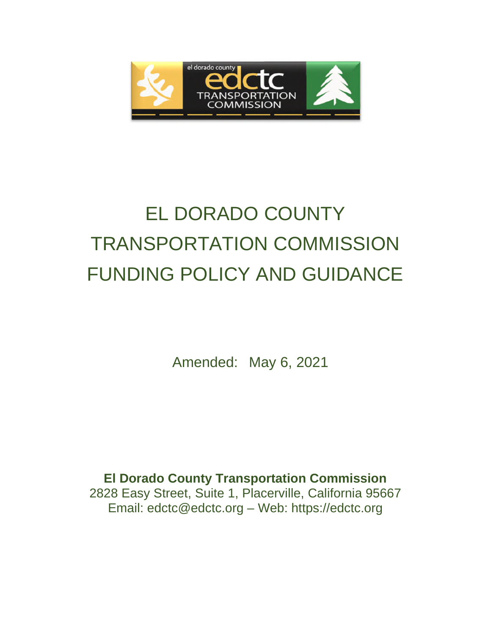

# EL DORADO COUNTY TRANSPORTATION COMMISSION FUNDING POLICY AND GUIDANCE

Amended: May 6, 2021

**El Dorado County Transportation Commission**  2828 Easy Street, Suite 1, Placerville, California 95667 Email: edctc@edctc.org – Web: https://edctc.org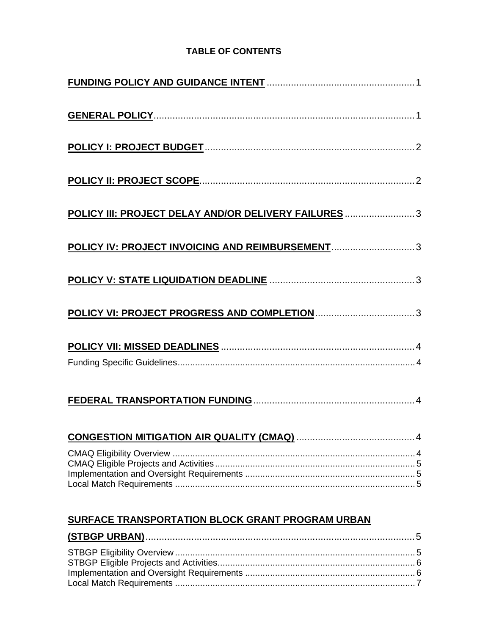# **TABLE OF CONTENTS**

| POLICY III: PROJECT DELAY AND/OR DELIVERY FAILURES  3 |  |
|-------------------------------------------------------|--|
| POLICY IV: PROJECT INVOICING AND REIMBURSEMENT3       |  |
|                                                       |  |
|                                                       |  |
|                                                       |  |
|                                                       |  |
|                                                       |  |
|                                                       |  |
|                                                       |  |
|                                                       |  |

# **SURFACE TRANSPORTATION BLOCK GRANT PROGRAM URBAN**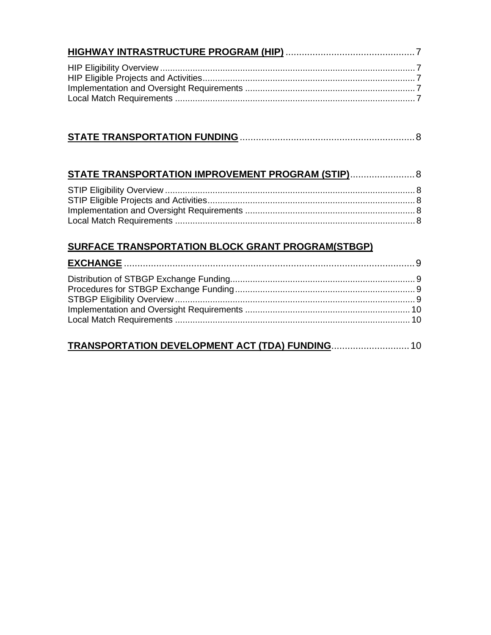# **STATE TRANSPORTATION FUNDING MARKET AND RESIDENCE ASSESSING A STATE TRANSPORTATION FUNDING**

| STATE TRANSPORTATION IMPROVEMENT PROGRAM (STIP) 8 |  |
|---------------------------------------------------|--|
|                                                   |  |
|                                                   |  |
|                                                   |  |
|                                                   |  |

# **SURFACE TRANSPORTATION BLOCK GRANT PROGRAM(STBGP)**

| TRANSPORTATION DEVELOPMENT ACT (TDA) FUNDING 10 |  |
|-------------------------------------------------|--|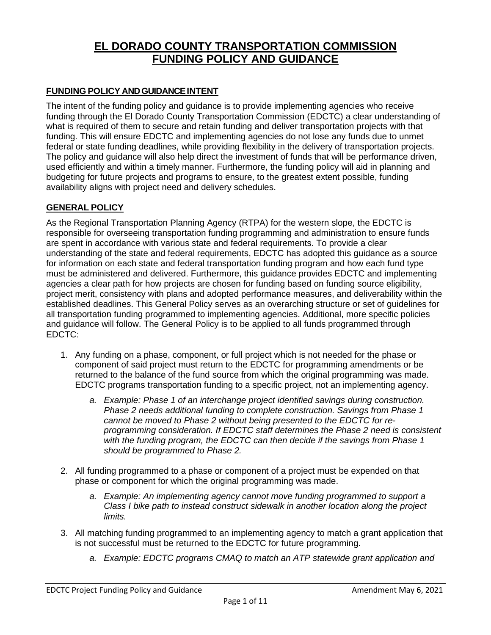# **EL DORADO COUNTY TRANSPORTATION COMMISSION FUNDING POLICY AND GUIDANCE**

#### **FUNDING POLICY ANDGUIDANCEINTENT**

The intent of the funding policy and guidance is to provide implementing agencies who receive funding through the El Dorado County Transportation Commission (EDCTC) a clear understanding of what is required of them to secure and retain funding and deliver transportation projects with that funding. This will ensure EDCTC and implementing agencies do not lose any funds due to unmet federal or state funding deadlines, while providing flexibility in the delivery of transportation projects. The policy and guidance will also help direct the investment of funds that will be performance driven, used efficiently and within a timely manner. Furthermore, the funding policy will aid in planning and budgeting for future projects and programs to ensure, to the greatest extent possible, funding availability aligns with project need and delivery schedules.

#### **GENERAL POLICY**

As the Regional Transportation Planning Agency (RTPA) for the western slope, the EDCTC is responsible for overseeing transportation funding programming and administration to ensure funds are spent in accordance with various state and federal requirements. To provide a clear understanding of the state and federal requirements, EDCTC has adopted this guidance as a source for information on each state and federal transportation funding program and how each fund type must be administered and delivered. Furthermore, this guidance provides EDCTC and implementing agencies a clear path for how projects are chosen for funding based on funding source eligibility, project merit, consistency with plans and adopted performance measures, and deliverability within the established deadlines. This General Policy serves as an overarching structure or set of guidelines for all transportation funding programmed to implementing agencies. Additional, more specific policies and guidance will follow. The General Policy is to be applied to all funds programmed through EDCTC:

- 1. Any funding on a phase, component, or full project which is not needed for the phase or component of said project must return to the EDCTC for programming amendments or be returned to the balance of the fund source from which the original programming was made. EDCTC programs transportation funding to a specific project, not an implementing agency.
	- *a. Example: Phase 1 of an interchange project identified savings during construction. Phase 2 needs additional funding to complete construction. Savings from Phase 1 cannot be moved to Phase 2 without being presented to the EDCTC for reprogramming consideration. If EDCTC staff determines the Phase 2 need is consistent with the funding program, the EDCTC can then decide if the savings from Phase 1 should be programmed to Phase 2.*
- 2. All funding programmed to a phase or component of a project must be expended on that phase or component for which the original programming was made.
	- *a. Example: An implementing agency cannot move funding programmed to support a Class I bike path to instead construct sidewalk in another location along the project limits.*
- 3. All matching funding programmed to an implementing agency to match a grant application that is not successful must be returned to the EDCTC for future programming.
	- *a. Example: EDCTC programs CMAQ to match an ATP statewide grant application and*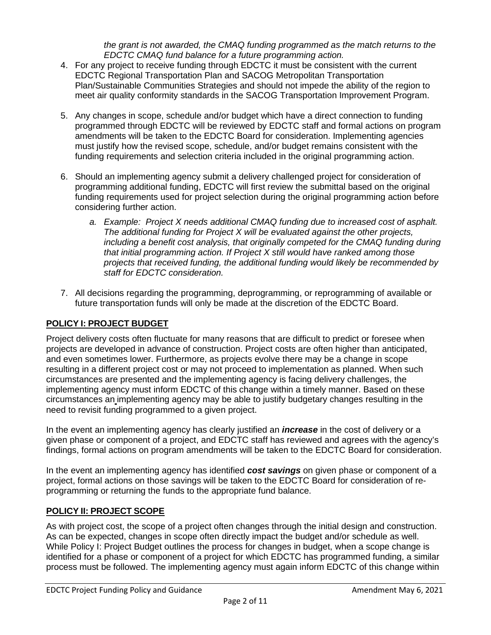*the grant is not awarded, the CMAQ funding programmed as the match returns to the EDCTC CMAQ fund balance for a future programming action.* 

- 4. For any project to receive funding through EDCTC it must be consistent with the current EDCTC Regional Transportation Plan and SACOG Metropolitan Transportation Plan/Sustainable Communities Strategies and should not impede the ability of the region to meet air quality conformity standards in the SACOG Transportation Improvement Program.
- 5. Any changes in scope, schedule and/or budget which have a direct connection to funding programmed through EDCTC will be reviewed by EDCTC staff and formal actions on program amendments will be taken to the EDCTC Board for consideration. Implementing agencies must justify how the revised scope, schedule, and/or budget remains consistent with the funding requirements and selection criteria included in the original programming action.
- 6. Should an implementing agency submit a delivery challenged project for consideration of programming additional funding, EDCTC will first review the submittal based on the original funding requirements used for project selection during the original programming action before considering further action.
	- *a. Example: Project X needs additional CMAQ funding due to increased cost of asphalt. The additional funding for Project X will be evaluated against the other projects, including a benefit cost analysis, that originally competed for the CMAQ funding during that initial programming action. If Project X still would have ranked among those projects that received funding, the additional funding would likely be recommended by staff for EDCTC consideration.*
- 7. All decisions regarding the programming, deprogramming, or reprogramming of available or future transportation funds will only be made at the discretion of the EDCTC Board.

# **POLICY I: PROJECT BUDGET**

Project delivery costs often fluctuate for many reasons that are difficult to predict or foresee when projects are developed in advance of construction. Project costs are often higher than anticipated, and even sometimes lower. Furthermore, as projects evolve there may be a change in scope resulting in a different project cost or may not proceed to implementation as planned. When such circumstances are presented and the implementing agency is facing delivery challenges, the implementing agency must inform EDCTC of this change within a timely manner. Based on these circumstances an implementing agency may be able to justify budgetary changes resulting in the need to revisit funding programmed to a given project.

In the event an implementing agency has clearly justified an *increase* in the cost of delivery or a given phase or component of a project, and EDCTC staff has reviewed and agrees with the agency's findings, formal actions on program amendments will be taken to the EDCTC Board for consideration.

In the event an implementing agency has identified *cost savings* on given phase or component of a project, formal actions on those savings will be taken to the EDCTC Board for consideration of reprogramming or returning the funds to the appropriate fund balance.

#### **POLICY II: PROJECT SCOPE**

As with project cost, the scope of a project often changes through the initial design and construction. As can be expected, changes in scope often directly impact the budget and/or schedule as well. While Policy I: Project Budget outlines the process for changes in budget, when a scope change is identified for a phase or component of a project for which EDCTC has programmed funding, a similar process must be followed. The implementing agency must again inform EDCTC of this change within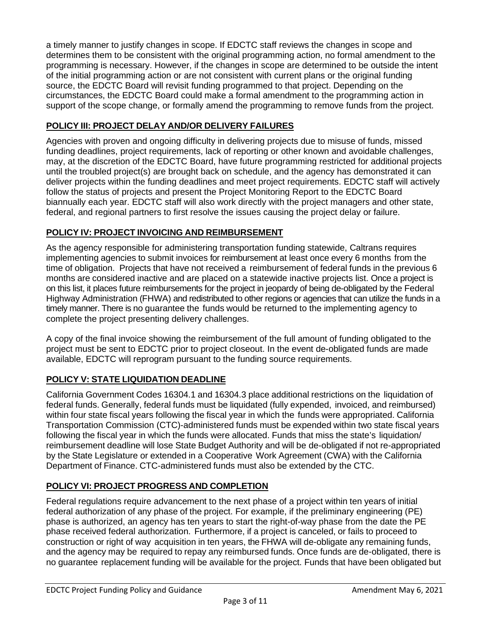a timely manner to justify changes in scope. If EDCTC staff reviews the changes in scope and determines them to be consistent with the original programming action, no formal amendment to the programming is necessary. However, if the changes in scope are determined to be outside the intent of the initial programming action or are not consistent with current plans or the original funding source, the EDCTC Board will revisit funding programmed to that project. Depending on the circumstances, the EDCTC Board could make a formal amendment to the programming action in support of the scope change, or formally amend the programming to remove funds from the project.

## **POLICY III: PROJECT DELAY AND/OR DELIVERY FAILURES**

Agencies with proven and ongoing difficulty in delivering projects due to misuse of funds, missed funding deadlines, project requirements, lack of reporting or other known and avoidable challenges, may, at the discretion of the EDCTC Board, have future programming restricted for additional projects until the troubled project(s) are brought back on schedule, and the agency has demonstrated it can deliver projects within the funding deadlines and meet project requirements. EDCTC staff will actively follow the status of projects and present the Project Monitoring Report to the EDCTC Board biannually each year. EDCTC staff will also work directly with the project managers and other state, federal, and regional partners to first resolve the issues causing the project delay or failure.

## **POLICY IV: PROJECT INVOICING AND REIMBURSEMENT**

As the agency responsible for administering transportation funding statewide, Caltrans requires implementing agencies to submit invoices for reimbursement at least once every 6 months from the time of obligation. Projects that have not received a reimbursement of federal funds in the previous 6 months are considered inactive and are placed on a statewide inactive projects list. Once a project is on this list, it places future reimbursements for the project in jeopardy of being de-obligated by the Federal Highway Administration (FHWA) and redistributed to other regions or agencies that can utilize the funds in a timely manner. There is no guarantee the funds would be returned to the implementing agency to complete the project presenting delivery challenges.

A copy of the final invoice showing the reimbursement of the full amount of funding obligated to the project must be sent to EDCTC prior to project closeout. In the event de-obligated funds are made available, EDCTC will reprogram pursuant to the funding source requirements.

# **POLICY V: STATE LIQUIDATION DEADLINE**

California Government Codes 16304.1 and 16304.3 place additional restrictions on the liquidation of federal funds. Generally, federal funds must be liquidated (fully expended, invoiced, and reimbursed) within four state fiscal years following the fiscal year in which the funds were appropriated. California Transportation Commission (CTC)-administered funds must be expended within two state fiscal years following the fiscal year in which the funds were allocated. Funds that miss the state's liquidation/ reimbursement deadline will lose State Budget Authority and will be de-obligated if not re-appropriated by the State Legislature or extended in a Cooperative Work Agreement (CWA) with the California Department of Finance. CTC-administered funds must also be extended by the CTC.

#### **POLICY VI: PROJECT PROGRESS AND COMPLETION**

Federal regulations require advancement to the next phase of a project within ten years of initial federal authorization of any phase of the project. For example, if the preliminary engineering (PE) phase is authorized, an agency has ten years to start the right-of-way phase from the date the PE phase received federal authorization. Furthermore, if a project is canceled, or fails to proceed to construction or right of way acquisition in ten years, the FHWA will de-obligate any remaining funds, and the agency may be required to repay any reimbursed funds. Once funds are de-obligated, there is no guarantee replacement funding will be available for the project. Funds that have been obligated but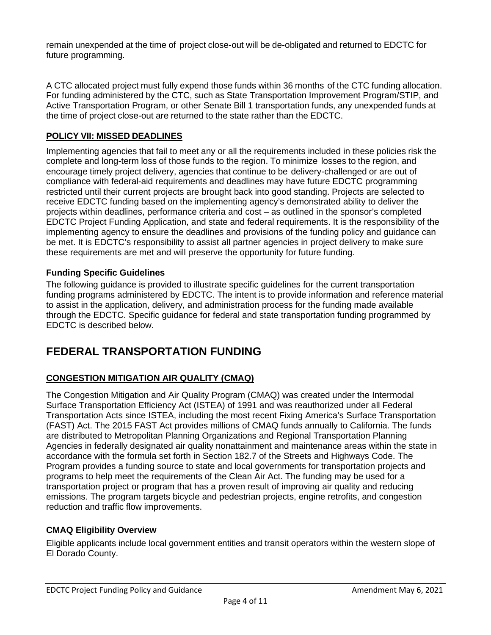remain unexpended at the time of project close-out will be de-obligated and returned to EDCTC for future programming.

A CTC allocated project must fully expend those funds within 36 months of the CTC funding allocation. For funding administered by the CTC, such as State Transportation Improvement Program/STIP, and Active Transportation Program, or other Senate Bill 1 transportation funds, any unexpended funds at the time of project close-out are returned to the state rather than the EDCTC.

## **POLICY VII: MISSED DEADLINES**

Implementing agencies that fail to meet any or all the requirements included in these policies risk the complete and long-term loss of those funds to the region. To minimize losses to the region, and encourage timely project delivery, agencies that continue to be delivery-challenged or are out of compliance with federal-aid requirements and deadlines may have future EDCTC programming restricted until their current projects are brought back into good standing. Projects are selected to receive EDCTC funding based on the implementing agency's demonstrated ability to deliver the projects within deadlines, performance criteria and cost – as outlined in the sponsor's completed EDCTC Project Funding Application, and state and federal requirements. It is the responsibility of the implementing agency to ensure the deadlines and provisions of the funding policy and guidance can be met. It is EDCTC's responsibility to assist all partner agencies in project delivery to make sure these requirements are met and will preserve the opportunity for future funding.

## **Funding Specific Guidelines**

The following guidance is provided to illustrate specific guidelines for the current transportation funding programs administered by EDCTC. The intent is to provide information and reference material to assist in the application, delivery, and administration process for the funding made available through the EDCTC. Specific guidance for federal and state transportation funding programmed by EDCTC is described below.

# **FEDERAL TRANSPORTATION FUNDING**

# **CONGESTION MITIGATION AIR QUALITY (CMAQ)**

The Congestion Mitigation and Air Quality Program (CMAQ) was created under the Intermodal Surface Transportation Efficiency Act (ISTEA) of 1991 and was reauthorized under all Federal Transportation Acts since ISTEA, including the most recent Fixing America's Surface Transportation (FAST) Act. The 2015 FAST Act provides millions of CMAQ funds annually to California. The funds are distributed to Metropolitan Planning Organizations and Regional Transportation Planning Agencies in federally designated air quality nonattainment and maintenance areas within the state in accordance with the formula set forth in Section 182.7 of the Streets and Highways Code. The Program provides a funding source to state and local governments for transportation projects and programs to help meet the requirements of the Clean Air Act. The funding may be used for a transportation project or program that has a proven result of improving air quality and reducing emissions. The program targets bicycle and pedestrian projects, engine retrofits, and congestion reduction and traffic flow improvements.

#### **CMAQ Eligibility Overview**

Eligible applicants include local government entities and transit operators within the western slope of El Dorado County.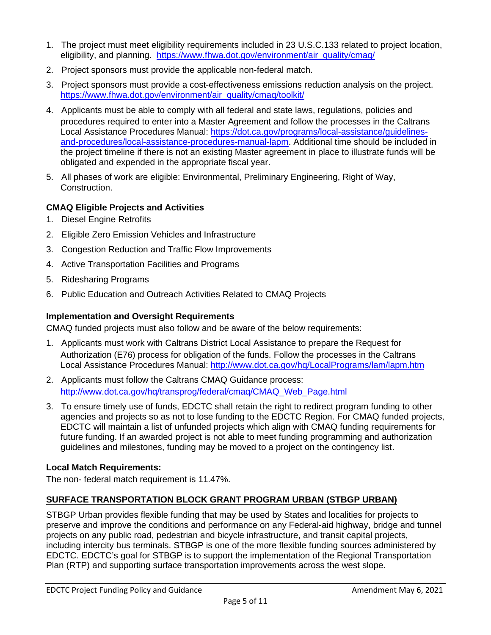- 1. The project must meet eligibility requirements included in 23 U.S.C.133 related to project location, eligibility, and planning. https://www.fhwa.dot.gov/environment/air\_quality/cmag/
- 2. Project sponsors must provide the applicable non-federal match.
- 3. Project sponsors must provide a cost-effectiveness emissions reduction analysis on the project. https://www.fhwa.dot.gov/environment/air\_quality/cmaq/toolkit/
- 4. Applicants must be able to comply with all federal and state laws, regulations, policies and procedures required to enter into a Master Agreement and follow the processes in the Caltrans Local Assistance Procedures Manual: https://dot.ca.gov/programs/local-assistance/guidelinesand-procedures/local-assistance-procedures-manual-lapm. Additional time should be included in the project timeline if there is not an existing Master agreement in place to illustrate funds will be obligated and expended in the appropriate fiscal year.
- 5. All phases of work are eligible: Environmental, Preliminary Engineering, Right of Way, Construction.

#### **CMAQ Eligible Projects and Activities**

- 1. Diesel Engine Retrofits
- 2. Eligible Zero Emission Vehicles and Infrastructure
- 3. Congestion Reduction and Traffic Flow Improvements
- 4. Active Transportation Facilities and Programs
- 5. Ridesharing Programs
- 6. Public Education and Outreach Activities Related to CMAQ Projects

#### **Implementation and Oversight Requirements**

CMAQ funded projects must also follow and be aware of the below requirements:

- 1. Applicants must work with Caltrans District Local Assistance to prepare the Request for Authorization (E76) process for obligation of the funds. Follow the processes in the Caltrans Local Assistance Procedures Manual: http://www.dot.ca.gov/hq/LocalPrograms/lam/lapm.htm
- 2. Applicants must follow the Caltrans CMAQ Guidance process: http://www.dot.ca.gov/hq/transprog/federal/cmaq/CMAQ\_Web\_Page.html
- 3. To ensure timely use of funds, EDCTC shall retain the right to redirect program funding to other agencies and projects so as not to lose funding to the EDCTC Region. For CMAQ funded projects, EDCTC will maintain a list of unfunded projects which align with CMAQ funding requirements for future funding. If an awarded project is not able to meet funding programming and authorization guidelines and milestones, funding may be moved to a project on the contingency list.

#### **Local Match Requirements:**

The non- federal match requirement is 11.47%.

#### **SURFACE TRANSPORTATION BLOCK GRANT PROGRAM URBAN (STBGP URBAN)**

STBGP Urban provides flexible funding that may be used by States and localities for projects to preserve and improve the conditions and performance on any Federal-aid highway, bridge and tunnel projects on any public road, pedestrian and bicycle infrastructure, and transit capital projects, including intercity bus terminals. STBGP is one of the more flexible funding sources administered by EDCTC. EDCTC's goal for STBGP is to support the implementation of the Regional Transportation Plan (RTP) and supporting surface transportation improvements across the west slope.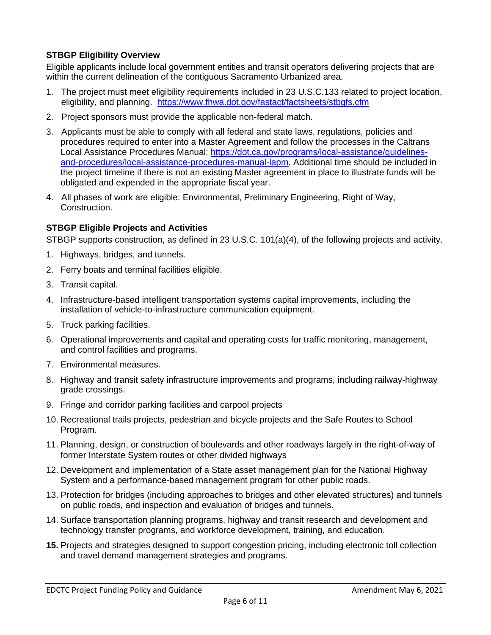### **STBGP Eligibility Overview**

Eligible applicants include local government entities and transit operators delivering projects that are within the current delineation of the contiguous Sacramento Urbanized area.

- 1. The project must meet eligibility requirements included in 23 U.S.C.133 related to project location, eligibility, and planning. https://www.fhwa.dot.gov/fastact/factsheets/stbgfs.cfm
- 2. Project sponsors must provide the applicable non-federal match.
- 3. Applicants must be able to comply with all federal and state laws, regulations, policies and procedures required to enter into a Master Agreement and follow the processes in the Caltrans Local Assistance Procedures Manual: https://dot.ca.gov/programs/local-assistance/guidelinesand-procedures/local-assistance-procedures-manual-lapm. Additional time should be included in the project timeline if there is not an existing Master agreement in place to illustrate funds will be obligated and expended in the appropriate fiscal year.
- 4. All phases of work are eligible: Environmental, Preliminary Engineering, Right of Way, Construction.

#### **STBGP Eligible Projects and Activities**

STBGP supports construction, as defined in 23 U.S.C. 101(a)(4), of the following projects and activity.

- 1. Highways, bridges, and tunnels.
- 2. Ferry boats and terminal facilities eligible.
- 3. Transit capital.
- 4. Infrastructure-based intelligent transportation systems capital improvements, including the installation of vehicle-to-infrastructure communication equipment.
- 5. Truck parking facilities.
- 6. Operational improvements and capital and operating costs for traffic monitoring, management, and control facilities and programs.
- 7. Environmental measures.
- 8. Highway and transit safety infrastructure improvements and programs, including railway-highway grade crossings.
- 9. Fringe and corridor parking facilities and carpool projects
- 10. Recreational trails projects, pedestrian and bicycle projects and the Safe Routes to School Program.
- 11. Planning, design, or construction of boulevards and other roadways largely in the right-of-way of former Interstate System routes or other divided highways
- 12. Development and implementation of a State asset management plan for the National Highway System and a performance-based management program for other public roads.
- 13. Protection for bridges (including approaches to bridges and other elevated structures) and tunnels on public roads, and inspection and evaluation of bridges and tunnels.
- 14. Surface transportation planning programs, highway and transit research and development and technology transfer programs, and workforce development, training, and education.
- **15.** Projects and strategies designed to support congestion pricing, including electronic toll collection and travel demand management strategies and programs.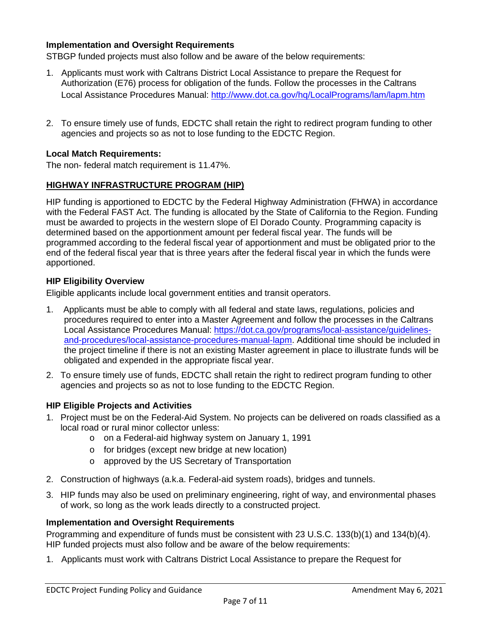#### **Implementation and Oversight Requirements**

STBGP funded projects must also follow and be aware of the below requirements:

- 1. Applicants must work with Caltrans District Local Assistance to prepare the Request for Authorization (E76) process for obligation of the funds. Follow the processes in the Caltrans Local Assistance Procedures Manual: http://www.dot.ca.gov/hq/LocalPrograms/lam/lapm.htm
- 2. To ensure timely use of funds, EDCTC shall retain the right to redirect program funding to other agencies and projects so as not to lose funding to the EDCTC Region.

#### **Local Match Requirements:**

The non- federal match requirement is 11.47%.

#### **HIGHWAY INFRASTRUCTURE PROGRAM (HIP)**

HIP funding is apportioned to EDCTC by the Federal Highway Administration (FHWA) in accordance with the Federal FAST Act. The funding is allocated by the State of California to the Region. Funding must be awarded to projects in the western slope of El Dorado County. Programming capacity is determined based on the apportionment amount per federal fiscal year. The funds will be programmed according to the federal fiscal year of apportionment and must be obligated prior to the end of the federal fiscal year that is three years after the federal fiscal year in which the funds were apportioned.

#### **HIP Eligibility Overview**

Eligible applicants include local government entities and transit operators.

- 1. Applicants must be able to comply with all federal and state laws, regulations, policies and procedures required to enter into a Master Agreement and follow the processes in the Caltrans Local Assistance Procedures Manual: https://dot.ca.gov/programs/local-assistance/guidelinesand-procedures/local-assistance-procedures-manual-lapm. Additional time should be included in the project timeline if there is not an existing Master agreement in place to illustrate funds will be obligated and expended in the appropriate fiscal year.
- 2. To ensure timely use of funds, EDCTC shall retain the right to redirect program funding to other agencies and projects so as not to lose funding to the EDCTC Region.

#### **HIP Eligible Projects and Activities**

- 1. Project must be on the Federal-Aid System. No projects can be delivered on roads classified as a local road or rural minor collector unless:
	- o on a Federal-aid highway system on January 1, 1991
	- o for bridges (except new bridge at new location)
	- o approved by the US Secretary of Transportation
- 2. Construction of highways (a.k.a. Federal-aid system roads), bridges and tunnels.
- 3. HIP funds may also be used on preliminary engineering, right of way, and environmental phases of work, so long as the work leads directly to a constructed project.

#### **Implementation and Oversight Requirements**

Programming and expenditure of funds must be consistent with 23 U.S.C. 133(b)(1) and 134(b)(4). HIP funded projects must also follow and be aware of the below requirements:

1. Applicants must work with Caltrans District Local Assistance to prepare the Request for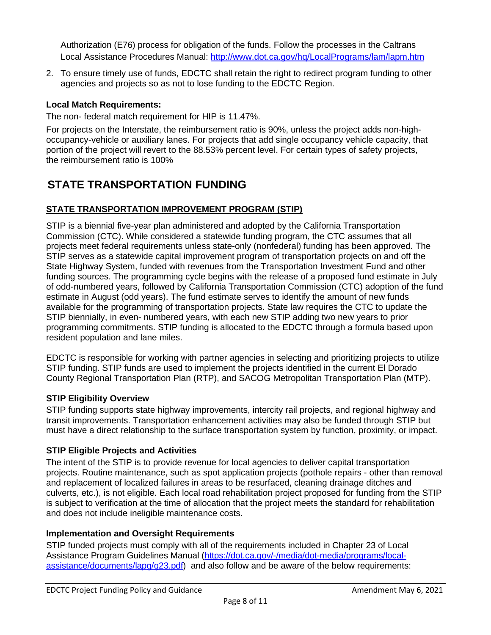Authorization (E76) process for obligation of the funds. Follow the processes in the Caltrans Local Assistance Procedures Manual: http://www.dot.ca.gov/hq/LocalPrograms/lam/lapm.htm

2. To ensure timely use of funds, EDCTC shall retain the right to redirect program funding to other agencies and projects so as not to lose funding to the EDCTC Region.

### **Local Match Requirements:**

The non- federal match requirement for HIP is 11.47%.

For projects on the Interstate, the reimbursement ratio is 90%, unless the project adds non-highoccupancy-vehicle or auxiliary lanes. For projects that add single occupancy vehicle capacity, that portion of the project will revert to the 88.53% percent level. For certain types of safety projects, the reimbursement ratio is 100%

# **STATE TRANSPORTATION FUNDING**

## **STATE TRANSPORTATION IMPROVEMENT PROGRAM (STIP)**

STIP is a biennial five-year plan administered and adopted by the California Transportation Commission (CTC). While considered a statewide funding program, the CTC assumes that all projects meet federal requirements unless state-only (nonfederal) funding has been approved. The STIP serves as a statewide capital improvement program of transportation projects on and off the State Highway System, funded with revenues from the Transportation Investment Fund and other funding sources. The programming cycle begins with the release of a proposed fund estimate in July of odd-numbered years, followed by California Transportation Commission (CTC) adoption of the fund estimate in August (odd years). The fund estimate serves to identify the amount of new funds available for the programming of transportation projects. State law requires the CTC to update the STIP biennially, in even- numbered years, with each new STIP adding two new years to prior programming commitments. STIP funding is allocated to the EDCTC through a formula based upon resident population and lane miles.

EDCTC is responsible for working with partner agencies in selecting and prioritizing projects to utilize STIP funding. STIP funds are used to implement the projects identified in the current El Dorado County Regional Transportation Plan (RTP), and SACOG Metropolitan Transportation Plan (MTP).

#### **STIP Eligibility Overview**

STIP funding supports state highway improvements, intercity rail projects, and regional highway and transit improvements. Transportation enhancement activities may also be funded through STIP but must have a direct relationship to the surface transportation system by function, proximity, or impact.

#### **STIP Eligible Projects and Activities**

The intent of the STIP is to provide revenue for local agencies to deliver capital transportation projects. Routine maintenance, such as spot application projects (pothole repairs - other than removal and replacement of localized failures in areas to be resurfaced, cleaning drainage ditches and culverts, etc.), is not eligible. Each local road rehabilitation project proposed for funding from the STIP is subject to verification at the time of allocation that the project meets the standard for rehabilitation and does not include ineligible maintenance costs.

#### **Implementation and Oversight Requirements**

STIP funded projects must comply with all of the requirements included in Chapter 23 of Local Assistance Program Guidelines Manual (https://dot.ca.gov/-/media/dot-media/programs/localassistance/documents/lapg/g23.pdf) and also follow and be aware of the below requirements: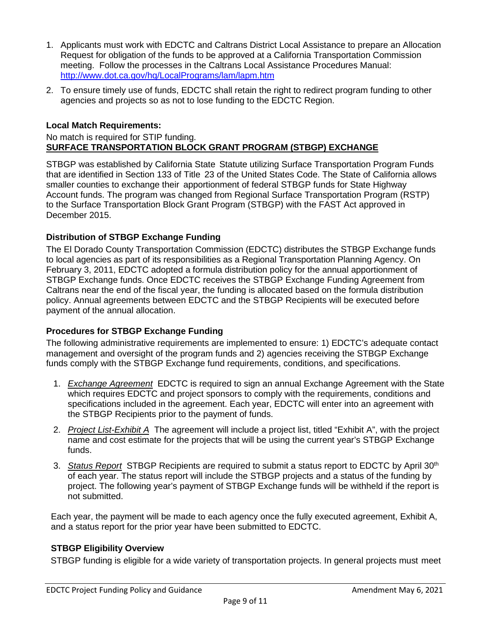- 1. Applicants must work with EDCTC and Caltrans District Local Assistance to prepare an Allocation Request for obligation of the funds to be approved at a California Transportation Commission meeting. Follow the processes in the Caltrans Local Assistance Procedures Manual: http://www.dot.ca.gov/hq/LocalPrograms/lam/lapm.htm
- 2. To ensure timely use of funds, EDCTC shall retain the right to redirect program funding to other agencies and projects so as not to lose funding to the EDCTC Region.

#### **Local Match Requirements:**

#### No match is required for STIP funding. **SURFACE TRANSPORTATION BLOCK GRANT PROGRAM (STBGP) EXCHANGE**

STBGP was established by California State Statute utilizing Surface Transportation Program Funds that are identified in Section 133 of Title 23 of the United States Code. The State of California allows smaller counties to exchange their apportionment of federal STBGP funds for State Highway Account funds. The program was changed from Regional Surface Transportation Program (RSTP) to the Surface Transportation Block Grant Program (STBGP) with the FAST Act approved in December 2015.

#### **Distribution of STBGP Exchange Funding**

The El Dorado County Transportation Commission (EDCTC) distributes the STBGP Exchange funds to local agencies as part of its responsibilities as a Regional Transportation Planning Agency. On February 3, 2011, EDCTC adopted a formula distribution policy for the annual apportionment of STBGP Exchange funds. Once EDCTC receives the STBGP Exchange Funding Agreement from Caltrans near the end of the fiscal year, the funding is allocated based on the formula distribution policy. Annual agreements between EDCTC and the STBGP Recipients will be executed before payment of the annual allocation.

#### **Procedures for STBGP Exchange Funding**

The following administrative requirements are implemented to ensure: 1) EDCTC's adequate contact management and oversight of the program funds and 2) agencies receiving the STBGP Exchange funds comply with the STBGP Exchange fund requirements, conditions, and specifications.

- 1. *Exchange Agreement* EDCTC is required to sign an annual Exchange Agreement with the State which requires EDCTC and project sponsors to comply with the requirements, conditions and specifications included in the agreement. Each year, EDCTC will enter into an agreement with the STBGP Recipients prior to the payment of funds.
- 2. *Project List-Exhibit A* The agreement will include a project list, titled "Exhibit A", with the project name and cost estimate for the projects that will be using the current year's STBGP Exchange funds.
- 3. *Status Report* STBGP Recipients are required to submit a status report to EDCTC by April 30th of each year. The status report will include the STBGP projects and a status of the funding by project. The following year's payment of STBGP Exchange funds will be withheld if the report is not submitted.

Each year, the payment will be made to each agency once the fully executed agreement, Exhibit A, and a status report for the prior year have been submitted to EDCTC.

#### **STBGP Eligibility Overview**

STBGP funding is eligible for a wide variety of transportation projects. In general projects must meet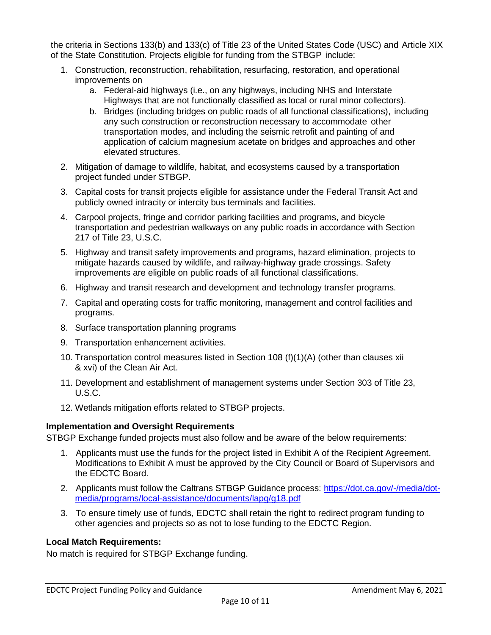the criteria in Sections 133(b) and 133(c) of Title 23 of the United States Code (USC) and Article XIX of the State Constitution. Projects eligible for funding from the STBGP include:

- 1. Construction, reconstruction, rehabilitation, resurfacing, restoration, and operational improvements on
	- a. Federal-aid highways (i.e., on any highways, including NHS and Interstate Highways that are not functionally classified as local or rural minor collectors).
	- b. Bridges (including bridges on public roads of all functional classifications), including any such construction or reconstruction necessary to accommodate other transportation modes, and including the seismic retrofit and painting of and application of calcium magnesium acetate on bridges and approaches and other elevated structures.
- 2. Mitigation of damage to wildlife, habitat, and ecosystems caused by a transportation project funded under STBGP.
- 3. Capital costs for transit projects eligible for assistance under the Federal Transit Act and publicly owned intracity or intercity bus terminals and facilities.
- 4. Carpool projects, fringe and corridor parking facilities and programs, and bicycle transportation and pedestrian walkways on any public roads in accordance with Section 217 of Title 23, U.S.C.
- 5. Highway and transit safety improvements and programs, hazard elimination, projects to mitigate hazards caused by wildlife, and railway-highway grade crossings. Safety improvements are eligible on public roads of all functional classifications.
- 6. Highway and transit research and development and technology transfer programs.
- 7. Capital and operating costs for traffic monitoring, management and control facilities and programs.
- 8. Surface transportation planning programs
- 9. Transportation enhancement activities.
- 10. Transportation control measures listed in Section 108 (f)(1)(A) (other than clauses xii & xvi) of the Clean Air Act.
- 11. Development and establishment of management systems under Section 303 of Title 23, U.S.C.
- 12. Wetlands mitigation efforts related to STBGP projects.

#### **Implementation and Oversight Requirements**

STBGP Exchange funded projects must also follow and be aware of the below requirements:

- 1. Applicants must use the funds for the project listed in Exhibit A of the Recipient Agreement. Modifications to Exhibit A must be approved by the City Council or Board of Supervisors and the EDCTC Board.
- 2. Applicants must follow the Caltrans STBGP Guidance process: https://dot.ca.gov/-/media/dotmedia/programs/local-assistance/documents/lapg/g18.pdf
- 3. To ensure timely use of funds, EDCTC shall retain the right to redirect program funding to other agencies and projects so as not to lose funding to the EDCTC Region.

#### **Local Match Requirements:**

No match is required for STBGP Exchange funding.